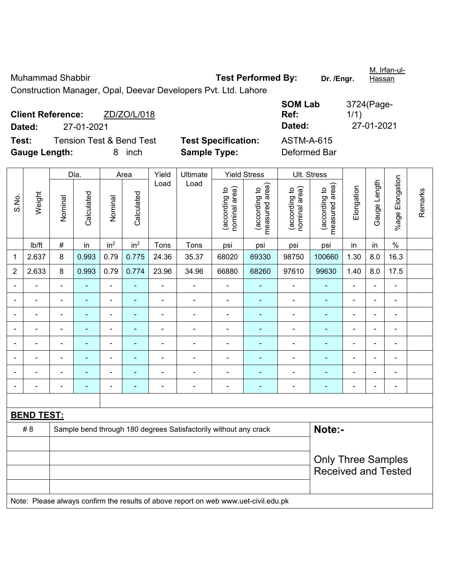Muhammad Shabbir **Test Performed By:** Dr. /Engr. M. Irfan-ul-**Hassan** Construction Manager, Opal, Deevar Developers Pvt. Ltd. Lahore

**Client Reference:** ZD/ZO/L/018 **Dated:** 27-01-2021 **Dated:** 27-01-2021 **Test:** Tension Test & Bend Test **Test Specification:** ASTM-A-615 **Gauge Length:** 8 inch **Sample Type:** Deformed Bar

**SOM Lab Ref:**  3724(Page-1/1)

|                                                                        | Weight                                                                              | Dia.           |                | Area                     |                 | Yield          | Ultimate       | <b>Yield Stress</b>            |                                 |                                | Ult. Stress                     |                          |                |                 |         |
|------------------------------------------------------------------------|-------------------------------------------------------------------------------------|----------------|----------------|--------------------------|-----------------|----------------|----------------|--------------------------------|---------------------------------|--------------------------------|---------------------------------|--------------------------|----------------|-----------------|---------|
| S.No.                                                                  |                                                                                     | Nominal        | Calculated     | Nominal                  | Calculated      | Load           | Load           | nominal area)<br>(according to | measured area)<br>(according to | nominal area)<br>(according to | measured area)<br>(according to | Elongation               | Gauge Length   | %age Elongation | Remarks |
|                                                                        | lb/ft                                                                               | $\#$           | in             | in <sup>2</sup>          | in <sup>2</sup> | Tons           | Tons           | psi                            | psi                             | psi                            | psi                             | in                       | in             | $\%$            |         |
| 1                                                                      | 2.637                                                                               | 8              | 0.993          | 0.79                     | 0.775           | 24.36          | 35.37          | 68020                          | 69330                           | 98750                          | 100660                          | 1.30                     | 8.0            | 16.3            |         |
| $\overline{2}$                                                         | 2.633                                                                               | $\bf 8$        | 0.993          | 0.79                     | 0.774           | 23.96          | 34.96          | 66880                          | 68260                           | 97610                          | 99630                           | 1.40                     | 8.0            | 17.5            |         |
|                                                                        |                                                                                     | $\blacksquare$ |                | $\blacksquare$           | $\blacksquare$  | $\overline{a}$ | ÷,             | ä,                             | ä,                              | $\blacksquare$                 | ä,                              | $\blacksquare$           |                | $\blacksquare$  |         |
|                                                                        |                                                                                     | L,             | L,             | $\blacksquare$           |                 | $\blacksquare$ | $\blacksquare$ | ä,                             | $\blacksquare$                  | $\blacksquare$                 | ä,                              | $\blacksquare$           | ä,             | $\frac{1}{2}$   |         |
|                                                                        |                                                                                     |                |                | ۰                        |                 |                |                | $\blacksquare$                 |                                 |                                |                                 |                          |                | $\overline{a}$  |         |
|                                                                        |                                                                                     |                | Ē.             | $\blacksquare$           |                 |                | $\blacksquare$ | $\blacksquare$                 | $\blacksquare$                  | $\blacksquare$                 | $\overline{\phantom{0}}$        | $\blacksquare$           | $\blacksquare$ | $\blacksquare$  |         |
| $\overline{\phantom{0}}$                                               |                                                                                     | $\blacksquare$ | $\blacksquare$ | ÷                        | ۰               | $\blacksquare$ | $\blacksquare$ | $\blacksquare$                 | ۰                               | $\blacksquare$                 | $\overline{\phantom{0}}$        | ÷                        | $\blacksquare$ | $\frac{1}{2}$   |         |
|                                                                        | ÷                                                                                   |                | Ē,             | $\overline{\phantom{0}}$ |                 | $\blacksquare$ | $\blacksquare$ | $\blacksquare$                 | ۰                               | $\blacksquare$                 | $\blacksquare$                  | $\blacksquare$           | $\blacksquare$ | $\frac{1}{2}$   |         |
|                                                                        | $\blacksquare$                                                                      | $\blacksquare$ | ÷              | $\blacksquare$           | ۰               | $\blacksquare$ | $\blacksquare$ | $\blacksquare$                 | ۰                               | $\blacksquare$                 | $\blacksquare$                  | $\blacksquare$           | $\blacksquare$ | $\blacksquare$  |         |
|                                                                        |                                                                                     |                |                |                          | ۰               | Ē,             |                | $\blacksquare$                 | ۰                               | ٠                              | $\blacksquare$                  | $\overline{\phantom{a}}$ |                | ÷,              |         |
|                                                                        |                                                                                     |                |                |                          |                 |                |                |                                |                                 |                                |                                 |                          |                |                 |         |
|                                                                        | <b>BEND TEST:</b>                                                                   |                |                |                          |                 |                |                |                                |                                 |                                |                                 |                          |                |                 |         |
| #8<br>Sample bend through 180 degrees Satisfactorily without any crack |                                                                                     |                |                |                          |                 |                |                |                                |                                 |                                | Note:-                          |                          |                |                 |         |
|                                                                        |                                                                                     |                |                |                          |                 |                |                |                                |                                 |                                |                                 |                          |                |                 |         |
|                                                                        |                                                                                     |                |                |                          |                 |                |                |                                |                                 |                                | <b>Only Three Samples</b>       |                          |                |                 |         |
|                                                                        |                                                                                     |                |                |                          |                 |                |                |                                |                                 |                                | <b>Received and Tested</b>      |                          |                |                 |         |
|                                                                        |                                                                                     |                |                |                          |                 |                |                |                                |                                 |                                |                                 |                          |                |                 |         |
|                                                                        | Note: Please always confirm the results of above report on web www.uet-civil.edu.pk |                |                |                          |                 |                |                |                                |                                 |                                |                                 |                          |                |                 |         |